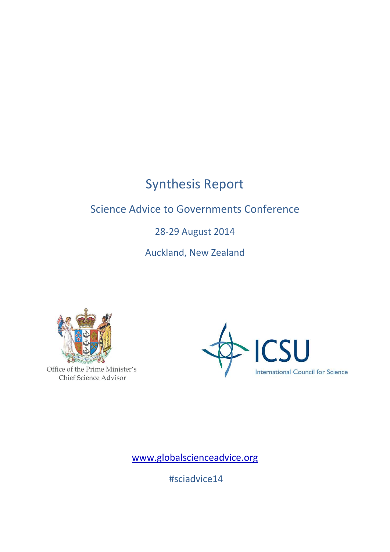# Synthesis Report

## Science Advice to Governments Conference

## 28-29 August 2014

Auckland, New Zealand



Office of the Prime Minister's Chief Science Advisor



[www.globalscienceadvice.org](http://www.globalscienceadvice.org/)

#sciadvice14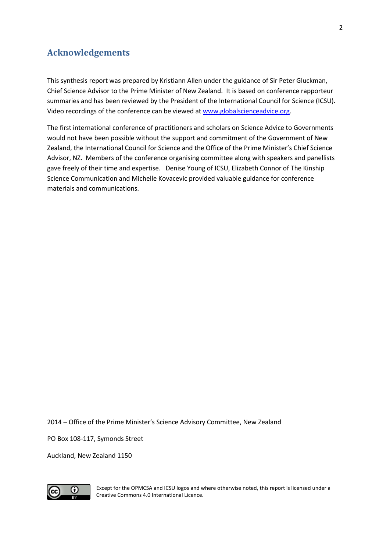## <span id="page-1-0"></span>**Acknowledgements**

This synthesis report was prepared by Kristiann Allen under the guidance of Sir Peter Gluckman, Chief Science Advisor to the Prime Minister of New Zealand. It is based on conference rapporteur summaries and has been reviewed by the President of the International Council for Science (ICSU). Video recordings of the conference can be viewed a[t www.globalscienceadvice.org.](http://www.globalscienceadvice.org/)

The first international conference of practitioners and scholars on Science Advice to Governments would not have been possible without the support and commitment of the Government of New Zealand, the International Council for Science and the Office of the Prime Minister's Chief Science Advisor, NZ. Members of the conference organising committee along with speakers and panellists gave freely of their time and expertise. Denise Young of ICSU, Elizabeth Connor of The Kinship Science Communication and Michelle Kovacevic provided valuable guidance for conference materials and communications.

2014 – Office of the Prime Minister's Science Advisory Committee, New Zealand

PO Box 108-117, Symonds Street

Auckland, New Zealand 1150



Except for the OPMCSA and ICSU logos and where otherwise noted, this report is licensed under a Creative Commons 4.0 International Licence.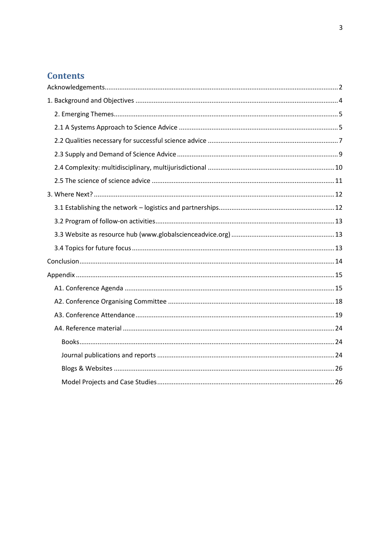## **Contents**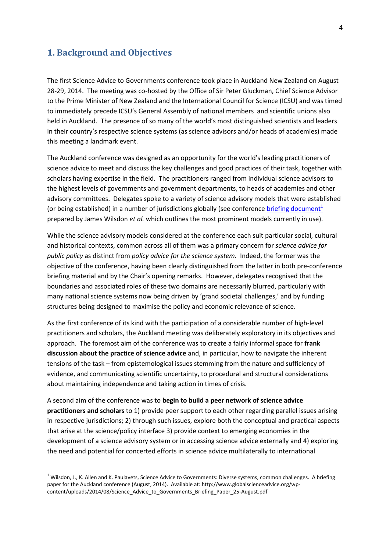### <span id="page-3-0"></span>**1. Background and Objectives**

The first Science Advice to Governments conference took place in Auckland New Zealand on August 28-29, 2014. The meeting was co-hosted by the Office of Sir Peter Gluckman, Chief Science Advisor to the Prime Minister of New Zealand and the International Council for Science (ICSU) and was timed to immediately precede ICSU's General Assembly of national members and scientific unions also held in Auckland. The presence of so many of the world's most distinguished scientists and leaders in their country's respective science systems (as science advisors and/or heads of academies) made this meeting a landmark event.

The Auckland conference was designed as an opportunity for the world's leading practitioners of science advice to meet and discuss the key challenges and good practices of their task, together with scholars having expertise in the field. The practitioners ranged from individual science advisors to the highest levels of governments and government departments, to heads of academies and other advisory committees. Delegates spoke to a variety of science advisory models that were established (or being established) in a number of jurisdictions globally (see conference briefing document<sup>1</sup> prepared by James Wilsdon *et al.* which outlines the most prominent models currently in use).

While the science advisory models considered at the conference each suit particular social, cultural and historical contexts, common across all of them was a primary concern for *science advice for public policy* as distinct from *policy advice for the science system.* Indeed, the former was the objective of the conference, having been clearly distinguished from the latter in both pre-conference briefing material and by the Chair's opening remarks. However, delegates recognised that the boundaries and associated roles of these two domains are necessarily blurred, particularly with many national science systems now being driven by 'grand societal challenges,' and by funding structures being designed to maximise the policy and economic relevance of science.

As the first conference of its kind with the participation of a considerable number of high-level practitioners and scholars, the Auckland meeting was deliberately exploratory in its objectives and approach. The foremost aim of the conference was to create a fairly informal space for **frank discussion about the practice of science advice** and, in particular, how to navigate the inherent tensions of the task – from epistemological issues stemming from the nature and sufficiency of evidence, and communicating scientific uncertainty, to procedural and structural considerations about maintaining independence and taking action in times of crisis.

A second aim of the conference was to **begin to build a peer network of science advice practitioners and scholars** to 1) provide peer support to each other regarding parallel issues arising in respective jurisdictions; 2) through such issues, explore both the conceptual and practical aspects that arise at the science/policy interface 3) provide context to emerging economies in the development of a science advisory system or in accessing science advice externally and 4) exploring the need and potential for concerted efforts in science advice multilaterally to international

 $1$  Wilsdon, J., K. Allen and K. Paulavets, Science Advice to Governments: Diverse systems, common challenges. A briefing paper for the Auckland conference (August, 2014). Available at: http://www.globalscienceadvice.org/wpcontent/uploads/2014/08/Science Advice to Governments Briefing Paper 25-August.pdf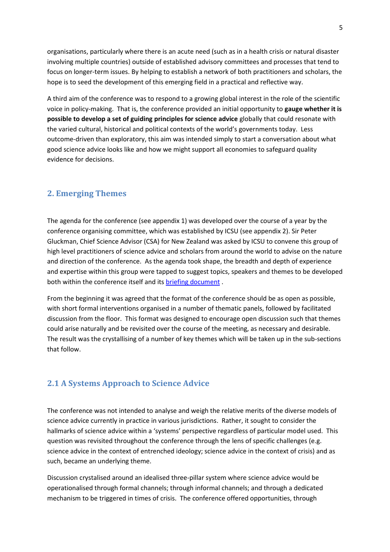organisations, particularly where there is an acute need (such as in a health crisis or natural disaster involving multiple countries) outside of established advisory committees and processes that tend to focus on longer-term issues. By helping to establish a network of both practitioners and scholars, the hope is to seed the development of this emerging field in a practical and reflective way.

A third aim of the conference was to respond to a growing global interest in the role of the scientific voice in policy-making. That is, the conference provided an initial opportunity to **gauge whether it is possible to develop a set of guiding principles for science advice** globally that could resonate with the varied cultural, historical and political contexts of the world's governments today. Less outcome-driven than exploratory, this aim was intended simply to start a conversation about what good science advice looks like and how we might support all economies to safeguard quality evidence for decisions.

#### <span id="page-4-0"></span>**2. Emerging Themes**

The agenda for the conference (see appendix 1) was developed over the course of a year by the conference organising committee, which was established by ICSU (see appendix 2). Sir Peter Gluckman, Chief Science Advisor (CSA) for New Zealand was asked by ICSU to convene this group of high level practitioners of science advice and scholars from around the world to advise on the nature and direction of the conference. As the agenda took shape, the breadth and depth of experience and expertise within this group were tapped to suggest topics, speakers and themes to be developed both within the conference itself and its briefing [document](http://www.globalscienceadvice.org/wp-content/uploads/2014/08/Science_Advice_to_Governments_Briefing_Paper_25-August.pdf).

From the beginning it was agreed that the format of the conference should be as open as possible, with short formal interventions organised in a number of thematic panels, followed by facilitated discussion from the floor. This format was designed to encourage open discussion such that themes could arise naturally and be revisited over the course of the meeting, as necessary and desirable. The result was the crystallising of a number of key themes which will be taken up in the sub-sections that follow.

#### <span id="page-4-1"></span>**2.1 A Systems Approach to Science Advice**

The conference was not intended to analyse and weigh the relative merits of the diverse models of science advice currently in practice in various jurisdictions. Rather, it sought to consider the hallmarks of science advice within a 'systems' perspective regardless of particular model used. This question was revisited throughout the conference through the lens of specific challenges (e.g. science advice in the context of entrenched ideology; science advice in the context of crisis) and as such, became an underlying theme.

Discussion crystalised around an idealised three-pillar system where science advice would be operationalised through formal channels; through informal channels; and through a dedicated mechanism to be triggered in times of crisis. The conference offered opportunities, through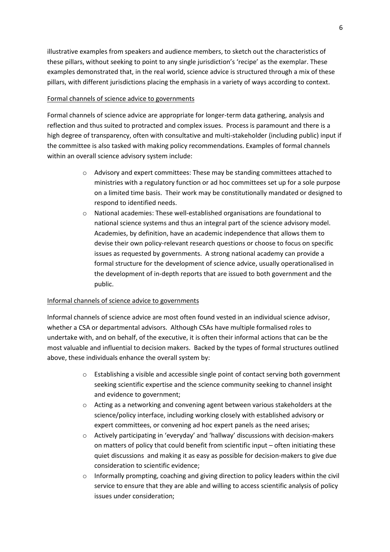illustrative examples from speakers and audience members, to sketch out the characteristics of these pillars, without seeking to point to any single jurisdiction's 'recipe' as the exemplar. These examples demonstrated that, in the real world, science advice is structured through a mix of these pillars, with different jurisdictions placing the emphasis in a variety of ways according to context.

#### Formal channels of science advice to governments

Formal channels of science advice are appropriate for longer-term data gathering, analysis and reflection and thus suited to protracted and complex issues. Process is paramount and there is a high degree of transparency, often with consultative and multi-stakeholder (including public) input if the committee is also tasked with making policy recommendations. Examples of formal channels within an overall science advisory system include:

- o Advisory and expert committees: These may be standing committees attached to ministries with a regulatory function or ad hoc committees set up for a sole purpose on a limited time basis. Their work may be constitutionally mandated or designed to respond to identified needs.
- o National academies: These well-established organisations are foundational to national science systems and thus an integral part of the science advisory model. Academies, by definition, have an academic independence that allows them to devise their own policy-relevant research questions or choose to focus on specific issues as requested by governments. A strong national academy can provide a formal structure for the development of science advice, usually operationalised in the development of in-depth reports that are issued to both government and the public.

#### Informal channels of science advice to governments

Informal channels of science advice are most often found vested in an individual science advisor, whether a CSA or departmental advisors. Although CSAs have multiple formalised roles to undertake with, and on behalf, of the executive, it is often their informal actions that can be the most valuable and influential to decision makers. Backed by the types of formal structures outlined above, these individuals enhance the overall system by:

- o Establishing a visible and accessible single point of contact serving both government seeking scientific expertise and the science community seeking to channel insight and evidence to government;
- o Acting as a networking and convening agent between various stakeholders at the science/policy interface, including working closely with established advisory or expert committees, or convening ad hoc expert panels as the need arises;
- o Actively participating in 'everyday' and 'hallway' discussions with decision-makers on matters of policy that could benefit from scientific input – often initiating these quiet discussions and making it as easy as possible for decision-makers to give due consideration to scientific evidence;
- o Informally prompting, coaching and giving direction to policy leaders within the civil service to ensure that they are able and willing to access scientific analysis of policy issues under consideration;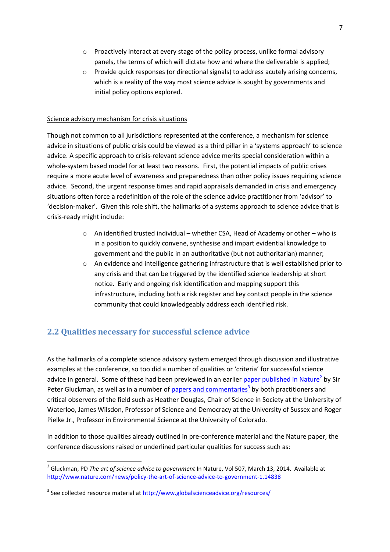- o Proactively interact at every stage of the policy process, unlike formal advisory panels, the terms of which will dictate how and where the deliverable is applied;
- o Provide quick responses (or directional signals) to address acutely arising concerns, which is a reality of the way most science advice is sought by governments and initial policy options explored.

#### Science advisory mechanism for crisis situations

Though not common to all jurisdictions represented at the conference, a mechanism for science advice in situations of public crisis could be viewed as a third pillar in a 'systems approach' to science advice. A specific approach to crisis-relevant science advice merits special consideration within a whole-system based model for at least two reasons. First, the potential impacts of public crises require a more acute level of awareness and preparedness than other policy issues requiring science advice. Second, the urgent response times and rapid appraisals demanded in crisis and emergency situations often force a redefinition of the role of the science advice practitioner from 'advisor' to 'decision-maker'. Given this role shift, the hallmarks of a systems approach to science advice that is crisis-ready might include:

- $\circ$  An identified trusted individual whether CSA, Head of Academy or other who is in a position to quickly convene, synthesise and impart evidential knowledge to government and the public in an authoritative (but not authoritarian) manner;
- o An evidence and intelligence gathering infrastructure that is well established prior to any crisis and that can be triggered by the identified science leadership at short notice. Early and ongoing risk identification and mapping support this infrastructure, including both a risk register and key contact people in the science community that could knowledgeably address each identified risk.

## <span id="page-6-0"></span>**2.2 Qualities necessary for successful science advice**

As the hallmarks of a complete science advisory system emerged through discussion and illustrative examples at the conference, so too did a number of qualities or 'criteria' for successful science advice in general. Some of these had been previewed in an earlier paper published in Nature<sup>2</sup> by Sir Peter Gluckman, as well as in a number of papers and commentaries<sup>3</sup> by both practitioners and critical observers of the field such as Heather Douglas, Chair of Science in Society at the University of Waterloo, James Wilsdon, Professor of Science and Democracy at the University of Sussex and Roger Pielke Jr., Professor in Environmental Science at the University of Colorado.

In addition to those qualities already outlined in pre-conference material and the Nature paper, the conference discussions raised or underlined particular qualities for success such as:

 <sup>2</sup> Gluckman, PD *The art of science advice to government* In Nature, Vol 507, March 13, 2014. Available at <http://www.nature.com/news/policy-the-art-of-science-advice-to-government-1.14838>

<sup>&</sup>lt;sup>3</sup> See collected resource material at<http://www.globalscienceadvice.org/resources/>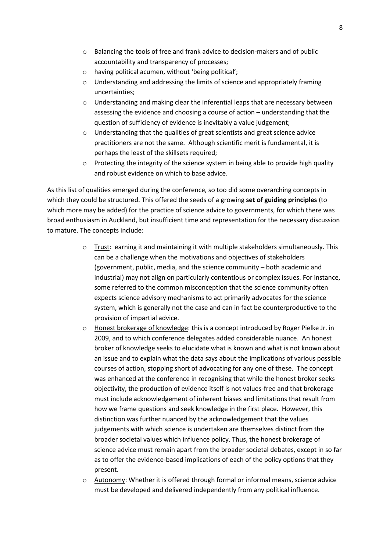- o Balancing the tools of free and frank advice to decision-makers and of public accountability and transparency of processes;
- o having political acumen, without 'being political';
- o Understanding and addressing the limits of science and appropriately framing uncertainties;
- $\circ$  Understanding and making clear the inferential leaps that are necessary between assessing the evidence and choosing a course of action – understanding that the question of sufficiency of evidence is inevitably a value judgement;
- o Understanding that the qualities of great scientists and great science advice practitioners are not the same. Although scientific merit is fundamental, it is perhaps the least of the skillsets required;
- $\circ$  Protecting the integrity of the science system in being able to provide high quality and robust evidence on which to base advice.

As this list of qualities emerged during the conference, so too did some overarching concepts in which they could be structured. This offered the seeds of a growing **set of guiding principles** (to which more may be added) for the practice of science advice to governments, for which there was broad enthusiasm in Auckland, but insufficient time and representation for the necessary discussion to mature. The concepts include:

- $\circ$  Trust: earning it and maintaining it with multiple stakeholders simultaneously. This can be a challenge when the motivations and objectives of stakeholders (government, public, media, and the science community – both academic and industrial) may not align on particularly contentious or complex issues. For instance, some referred to the common misconception that the science community often expects science advisory mechanisms to act primarily advocates for the science system, which is generally not the case and can in fact be counterproductive to the provision of impartial advice.
- o Honest brokerage of knowledge: this is a concept introduced by Roger Pielke Jr. in 2009, and to which conference delegates added considerable nuance. An honest broker of knowledge seeks to elucidate what is known and what is not known about an issue and to explain what the data says about the implications of various possible courses of action, stopping short of advocating for any one of these. The concept was enhanced at the conference in recognising that while the honest broker seeks objectivity, the production of evidence itself is not values-free and that brokerage must include acknowledgement of inherent biases and limitations that result from how we frame questions and seek knowledge in the first place. However, this distinction was further nuanced by the acknowledgement that the values judgements with which science is undertaken are themselves distinct from the broader societal values which influence policy. Thus, the honest brokerage of science advice must remain apart from the broader societal debates, except in so far as to offer the evidence-based implications of each of the policy options that they present.
- $\circ$  Autonomy: Whether it is offered through formal or informal means, science advice must be developed and delivered independently from any political influence.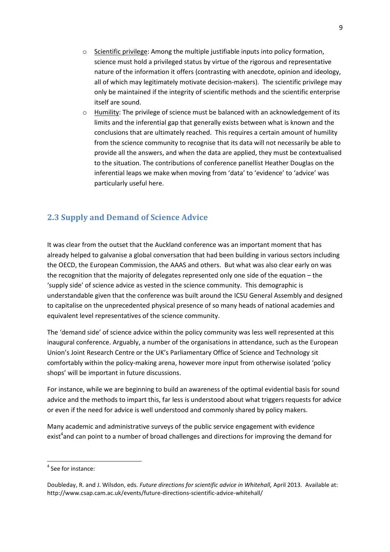- o Scientific privilege: Among the multiple justifiable inputs into policy formation, science must hold a privileged status by virtue of the rigorous and representative nature of the information it offers (contrasting with anecdote, opinion and ideology, all of which may legitimately motivate decision-makers). The scientific privilege may only be maintained if the integrity of scientific methods and the scientific enterprise itself are sound.
- $\circ$  Humility: The privilege of science must be balanced with an acknowledgement of its limits and the inferential gap that generally exists between what is known and the conclusions that are ultimately reached. This requires a certain amount of humility from the science community to recognise that its data will not necessarily be able to provide all the answers, and when the data are applied, they must be contextualised to the situation. The contributions of conference panellist Heather Douglas on the inferential leaps we make when moving from 'data' to 'evidence' to 'advice' was particularly useful here.

## <span id="page-8-0"></span>**2.3 Supply and Demand of Science Advice**

It was clear from the outset that the Auckland conference was an important moment that has already helped to galvanise a global conversation that had been building in various sectors including the OECD, the European Commission, the AAAS and others. But what was also clear early on was the recognition that the majority of delegates represented only one side of the equation – the 'supply side' of science advice as vested in the science community. This demographic is understandable given that the conference was built around the ICSU General Assembly and designed to capitalise on the unprecedented physical presence of so many heads of national academies and equivalent level representatives of the science community.

The 'demand side' of science advice within the policy community was less well represented at this inaugural conference. Arguably, a number of the organisations in attendance, such as the European Union's Joint Research Centre or the UK's Parliamentary Office of Science and Technology sit comfortably within the policy-making arena, however more input from otherwise isolated 'policy shops' will be important in future discussions.

For instance, while we are beginning to build an awareness of the optimal evidential basis for sound advice and the methods to impart this, far less is understood about what triggers requests for advice or even if the need for advice is well understood and commonly shared by policy makers.

Many academic and administrative surveys of the public service engagement with evidence exist<sup>4</sup>and can point to a number of broad challenges and directions for improving the demand for

 <sup>4</sup> See for instance:

Doubleday, R. and J. Wilsdon, eds. *Future directions for scientific advice in Whitehall,* April 2013. Available at: http://www.csap.cam.ac.uk/events/future-directions-scientific-advice-whitehall/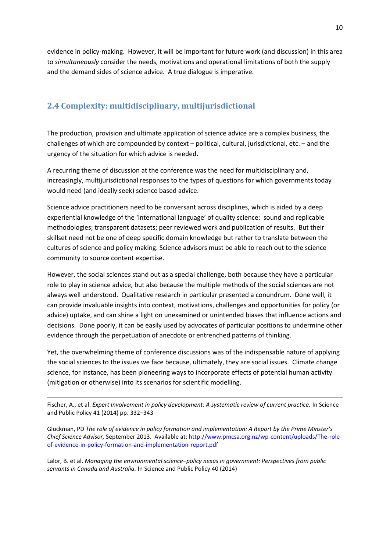evidence in policy-making. However, it will be important for future work (and discussion) in this area to *simultaneously* consider the needs, motivations and operational limitations of both the supply and the demand sides of science advice. A true dialogue is imperative.

## <span id="page-9-0"></span>**2.4 Complexity: multidisciplinary, multijurisdictional**

The production, provision and ultimate application of science advice are a complex business, the challenges of which are compounded by context – political, cultural, jurisdictional, etc. – and the urgency of the situation for which advice is needed.

A recurring theme of discussion at the conference was the need for multidisciplinary and, increasingly, multijurisdictional responses to the types of questions for which governments today would need (and ideally seek) science based advice.

Science advice practitioners need to be conversant across disciplines, which is aided by a deep experiential knowledge of the 'international language' of quality science: sound and replicable methodologies; transparent datasets; peer reviewed work and publication of results. But their skillset need not be one of deep specific domain knowledge but rather to translate between the cultures of science and policy making. Science advisors must be able to reach out to the science community to source content expertise.

However, the social sciences stand out as a special challenge, both because they have a particular role to play in science advice, but also because the multiple methods of the social sciences are not always well understood. Qualitative research in particular presented a conundrum. Done well, it can provide invaluable insights into context, motivations, challenges and opportunities for policy (or advice) uptake, and can shine a light on unexamined or unintended biases that influence actions and decisions. Done poorly, it can be easily used by advocates of particular positions to undermine other evidence through the perpetuation of anecdote or entrenched patterns of thinking.

Yet, the overwhelming theme of conference discussions was of the indispensable nature of applying the social sciences to the issues we face because, ultimately, they are social issues. Climate change science, for instance, has been pioneering ways to incorporate effects of potential human activity (mitigation or otherwise) into its scenarios for scientific modelling.

Fischer, A., et al. *Expert Involvement in policy development: A systematic review of current practice.* In Science and Public Policy 41 (2014) pp. 332–343

1

Gluckman, PD *The role of evidence in policy formation and implementation: A Report by the Prime Minster's Chief Science Advisor,* September 2013. Available at[: http://www.pmcsa.org.nz/wp-content/uploads/The-role](http://www.pmcsa.org.nz/wp-content/uploads/The-role-of-evidence-in-policy-formation-and-implementation-report.pdf)[of-evidence-in-policy-formation-and-implementation-report.pdf](http://www.pmcsa.org.nz/wp-content/uploads/The-role-of-evidence-in-policy-formation-and-implementation-report.pdf)

Lalor, B. et al. *Managing the environmental science–policy nexus in government: Perspectives from public servants in Canada and Australia.* In Science and Public Policy 40 (2014)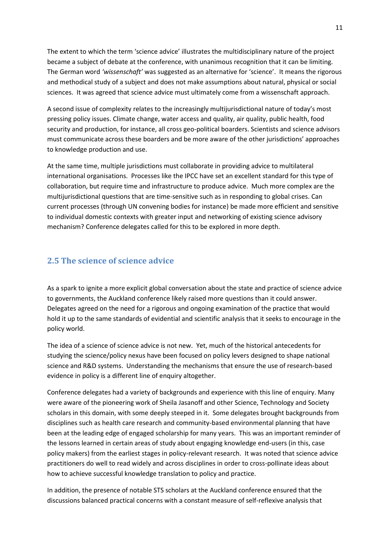The extent to which the term 'science advice' illustrates the multidisciplinary nature of the project became a subject of debate at the conference, with unanimous recognition that it can be limiting. The German word *'wissenschaft'* was suggested as an alternative for 'science'. It means the rigorous and methodical study of a subject and does not make assumptions about natural, physical or social sciences. It was agreed that science advice must ultimately come from a wissenschaft approach.

A second issue of complexity relates to the increasingly multijurisdictional nature of today's most pressing policy issues. Climate change, water access and quality, air quality, public health, food security and production, for instance, all cross geo-political boarders. Scientists and science advisors must communicate across these boarders and be more aware of the other jurisdictions' approaches to knowledge production and use.

At the same time, multiple jurisdictions must collaborate in providing advice to multilateral international organisations. Processes like the IPCC have set an excellent standard for this type of collaboration, but require time and infrastructure to produce advice. Much more complex are the multijurisdictional questions that are time-sensitive such as in responding to global crises. Can current processes (through UN convening bodies for instance) be made more efficient and sensitive to individual domestic contexts with greater input and networking of existing science advisory mechanism? Conference delegates called for this to be explored in more depth.

#### <span id="page-10-0"></span>**2.5 The science of science advice**

As a spark to ignite a more explicit global conversation about the state and practice of science advice to governments, the Auckland conference likely raised more questions than it could answer. Delegates agreed on the need for a rigorous and ongoing examination of the practice that would hold it up to the same standards of evidential and scientific analysis that it seeks to encourage in the policy world.

The idea of a science of science advice is not new. Yet, much of the historical antecedents for studying the science/policy nexus have been focused on policy levers designed to shape national science and R&D systems. Understanding the mechanisms that ensure the use of research-based evidence in policy is a different line of enquiry altogether.

Conference delegates had a variety of backgrounds and experience with this line of enquiry. Many were aware of the pioneering work of Sheila Jasanoff and other Science, Technology and Society scholars in this domain, with some deeply steeped in it. Some delegates brought backgrounds from disciplines such as health care research and community-based environmental planning that have been at the leading edge of engaged scholarship for many years. This was an important reminder of the lessons learned in certain areas of study about engaging knowledge end-users (in this, case policy makers) from the earliest stages in policy-relevant research. It was noted that science advice practitioners do well to read widely and across disciplines in order to cross-pollinate ideas about how to achieve successful knowledge translation to policy and practice.

In addition, the presence of notable STS scholars at the Auckland conference ensured that the discussions balanced practical concerns with a constant measure of self-reflexive analysis that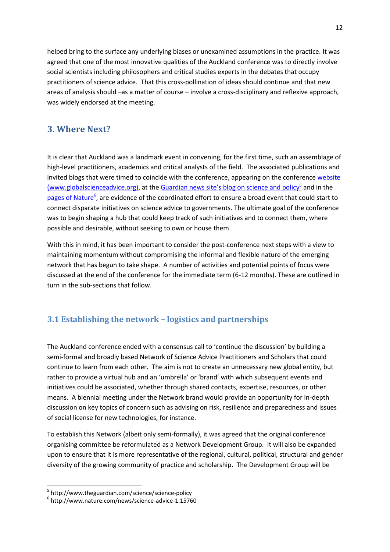helped bring to the surface any underlying biases or unexamined assumptions in the practice. It was agreed that one of the most innovative qualities of the Auckland conference was to directly involve social scientists including philosophers and critical studies experts in the debates that occupy practitioners of science advice. That this cross-pollination of ideas should continue and that new areas of analysis should –as a matter of course – involve a cross-disciplinary and reflexive approach, was widely endorsed at the meeting.

### <span id="page-11-0"></span>**3. Where Next?**

It is clear that Auckland was a landmark event in convening, for the first time, such an assemblage of high-level practitioners, academics and critical analysts of the field. The associated publications and invited blogs that were timed to coincide with the conference, appearing on the conferenc[e website](http://www.globalscienceadvice.org/news/) (www.globalscienceadvice.org), at the [Guardian news site's blog on science and policy](http://www.theguardian.com/science/science-policy)<sup>5</sup> and in the pages of Nature<sup>6</sup>, are evidence of the coordinated effort to ensure a broad event that could start to connect disparate initiatives on science advice to governments. The ultimate goal of the conference was to begin shaping a hub that could keep track of such initiatives and to connect them, where possible and desirable, without seeking to own or house them.

With this in mind, it has been important to consider the post-conference next steps with a view to maintaining momentum without compromising the informal and flexible nature of the emerging network that has begun to take shape. A number of activities and potential points of focus were discussed at the end of the conference for the immediate term (6-12 months). These are outlined in turn in the sub-sections that follow.

### <span id="page-11-1"></span>**3.1 Establishing the network – logistics and partnerships**

The Auckland conference ended with a consensus call to 'continue the discussion' by building a semi-formal and broadly based Network of Science Advice Practitioners and Scholars that could continue to learn from each other. The aim is not to create an unnecessary new global entity, but rather to provide a virtual hub and an 'umbrella' or 'brand' with which subsequent events and initiatives could be associated, whether through shared contacts, expertise, resources, or other means. A biennial meeting under the Network brand would provide an opportunity for in-depth discussion on key topics of concern such as advising on risk, resilience and preparedness and issues of social license for new technologies, for instance.

To establish this Network (albeit only semi-formally), it was agreed that the original conference organising committee be reformulated as a Network Development Group. It will also be expanded upon to ensure that it is more representative of the regional, cultural, political, structural and gender diversity of the growing community of practice and scholarship. The Development Group will be

 $5$  http://www.theguardian.com/science/science-policy<br> $6$  http://www.nature.com/news/science-advice-1.15760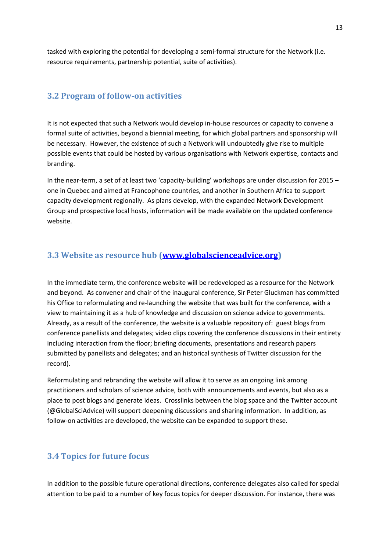tasked with exploring the potential for developing a semi-formal structure for the Network (i.e. resource requirements, partnership potential, suite of activities).

#### <span id="page-12-0"></span>**3.2 Program of follow-on activities**

It is not expected that such a Network would develop in-house resources or capacity to convene a formal suite of activities, beyond a biennial meeting, for which global partners and sponsorship will be necessary. However, the existence of such a Network will undoubtedly give rise to multiple possible events that could be hosted by various organisations with Network expertise, contacts and branding.

In the near-term, a set of at least two 'capacity-building' workshops are under discussion for 2015 – one in Quebec and aimed at Francophone countries, and another in Southern Africa to support capacity development regionally. As plans develop, with the expanded Network Development Group and prospective local hosts, information will be made available on the updated conference website.

#### <span id="page-12-1"></span>**3.3 Website as resource hub [\(www.globalscienceadvice.org\)](http://www.globalscienceadvice.org/)**

In the immediate term, the conference website will be redeveloped as a resource for the Network and beyond. As convener and chair of the inaugural conference, Sir Peter Gluckman has committed his Office to reformulating and re-launching the website that was built for the conference, with a view to maintaining it as a hub of knowledge and discussion on science advice to governments. Already, as a result of the conference, the website is a valuable repository of: guest blogs from conference panellists and delegates; video clips covering the conference discussions in their entirety including interaction from the floor; briefing documents, presentations and research papers submitted by panellists and delegates; and an historical synthesis of Twitter discussion for the record).

Reformulating and rebranding the website will allow it to serve as an ongoing link among practitioners and scholars of science advice, both with announcements and events, but also as a place to post blogs and generate ideas. Crosslinks between the blog space and the Twitter account (@GlobalSciAdvice) will support deepening discussions and sharing information. In addition, as follow-on activities are developed, the website can be expanded to support these.

#### <span id="page-12-2"></span>**3.4 Topics for future focus**

In addition to the possible future operational directions, conference delegates also called for special attention to be paid to a number of key focus topics for deeper discussion. For instance, there was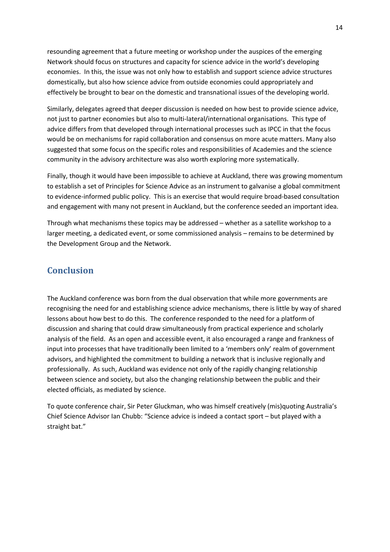resounding agreement that a future meeting or workshop under the auspices of the emerging Network should focus on structures and capacity for science advice in the world's developing economies. In this, the issue was not only how to establish and support science advice structures domestically, but also how science advice from outside economies could appropriately and effectively be brought to bear on the domestic and transnational issues of the developing world.

Similarly, delegates agreed that deeper discussion is needed on how best to provide science advice, not just to partner economies but also to multi-lateral/international organisations. This type of advice differs from that developed through international processes such as IPCC in that the focus would be on mechanisms for rapid collaboration and consensus on more acute matters. Many also suggested that some focus on the specific roles and responsibilities of Academies and the science community in the advisory architecture was also worth exploring more systematically.

Finally, though it would have been impossible to achieve at Auckland, there was growing momentum to establish a set of Principles for Science Advice as an instrument to galvanise a global commitment to evidence-informed public policy. This is an exercise that would require broad-based consultation and engagement with many not present in Auckland, but the conference seeded an important idea.

Through what mechanisms these topics may be addressed – whether as a satellite workshop to a larger meeting, a dedicated event, or some commissioned analysis – remains to be determined by the Development Group and the Network.

## <span id="page-13-0"></span>**Conclusion**

The Auckland conference was born from the dual observation that while more governments are recognising the need for and establishing science advice mechanisms, there is little by way of shared lessons about how best to do this. The conference responded to the need for a platform of discussion and sharing that could draw simultaneously from practical experience and scholarly analysis of the field. As an open and accessible event, it also encouraged a range and frankness of input into processes that have traditionally been limited to a 'members only' realm of government advisors, and highlighted the commitment to building a network that is inclusive regionally and professionally. As such, Auckland was evidence not only of the rapidly changing relationship between science and society, but also the changing relationship between the public and their elected officials, as mediated by science.

To quote conference chair, Sir Peter Gluckman, who was himself creatively (mis)quoting Australia's Chief Science Advisor Ian Chubb: "Science advice is indeed a contact sport – but played with a straight bat."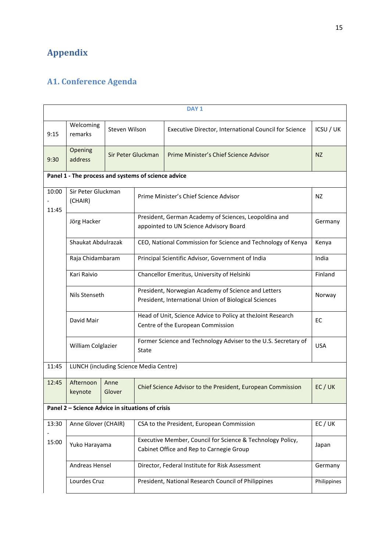## <span id="page-14-0"></span>**Appendix**

## <span id="page-14-1"></span>**A1. Conference Agenda**

| DAY <sub>1</sub> |                                                     |                    |       |                                                                                                              |             |  |
|------------------|-----------------------------------------------------|--------------------|-------|--------------------------------------------------------------------------------------------------------------|-------------|--|
| 9:15             | Welcoming<br>remarks                                | Steven Wilson      |       | Executive Director, International Council for Science                                                        | ICSU / UK   |  |
| 9:30             | Opening<br>address                                  | Sir Peter Gluckman |       | Prime Minister's Chief Science Advisor                                                                       | <b>NZ</b>   |  |
|                  | Panel 1 - The process and systems of science advice |                    |       |                                                                                                              |             |  |
| 10:00<br>11:45   | Sir Peter Gluckman<br>(CHAIR)                       |                    |       | Prime Minister's Chief Science Advisor                                                                       | NZ          |  |
|                  | Jörg Hacker                                         |                    |       | President, German Academy of Sciences, Leopoldina and<br>appointed to UN Science Advisory Board              | Germany     |  |
|                  | Shaukat Abdulrazak                                  |                    |       | CEO, National Commission for Science and Technology of Kenya                                                 | Kenya       |  |
|                  | Raja Chidambaram                                    |                    |       | Principal Scientific Advisor, Government of India                                                            |             |  |
|                  | Kari Raivio                                         |                    |       | Chancellor Emeritus, University of Helsinki                                                                  | Finland     |  |
|                  | Nils Stenseth                                       |                    |       | President, Norwegian Academy of Science and Letters<br>President, International Union of Biological Sciences | Norway      |  |
|                  | David Mair                                          |                    |       | Head of Unit, Science Advice to Policy at the Joint Research<br>Centre of the European Commission            | EC          |  |
|                  | William Colglazier                                  |                    | State | Former Science and Technology Adviser to the U.S. Secretary of                                               | <b>USA</b>  |  |
| 11:45            | LUNCH (including Science Media Centre)              |                    |       |                                                                                                              |             |  |
| 12:45            | Afternoon<br>keynote                                | Anne<br>Glover     |       | Chief Science Advisor to the President, European Commission                                                  | EC / UK     |  |
|                  | Panel 2 - Science Advice in situations of crisis    |                    |       |                                                                                                              |             |  |
| 13:30            | Anne Glover (CHAIR)                                 |                    |       | CSA to the President, European Commission                                                                    | EC/UK       |  |
| 15:00            | Yuko Harayama                                       |                    |       | Executive Member, Council for Science & Technology Policy,<br>Cabinet Office and Rep to Carnegie Group       | Japan       |  |
|                  | Andreas Hensel                                      |                    |       | Director, Federal Institute for Risk Assessment                                                              | Germany     |  |
|                  | Lourdes Cruz                                        |                    |       | President, National Research Council of Philippines                                                          | Philippines |  |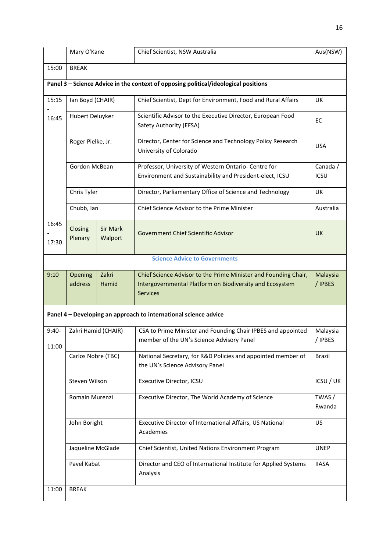|                  | Mary O'Kane         |                     | Chief Scientist, NSW Australia                                                                                                                 | Aus(NSW)                |
|------------------|---------------------|---------------------|------------------------------------------------------------------------------------------------------------------------------------------------|-------------------------|
| 15:00            | <b>BREAK</b>        |                     |                                                                                                                                                |                         |
|                  |                     |                     | Panel 3 - Science Advice in the context of opposing political/ideological positions                                                            |                         |
| 15:15            | lan Boyd (CHAIR)    |                     | Chief Scientist, Dept for Environment, Food and Rural Affairs                                                                                  | UK                      |
| 16:45            | Hubert Deluyker     |                     | Scientific Advisor to the Executive Director, European Food<br>Safety Authority (EFSA)                                                         | EC                      |
|                  | Roger Pielke, Jr.   |                     | Director, Center for Science and Technology Policy Research<br>University of Colorado                                                          | <b>USA</b>              |
|                  | Gordon McBean       |                     | Professor, University of Western Ontario- Centre for<br>Environment and Sustainability and President-elect, ICSU                               | Canada /<br><b>ICSU</b> |
|                  | Chris Tyler         |                     | Director, Parliamentary Office of Science and Technology                                                                                       | UK                      |
|                  | Chubb, Ian          |                     | Chief Science Advisor to the Prime Minister                                                                                                    | Australia               |
| 16:45<br>17:30   | Closing<br>Plenary  | Sir Mark<br>Walport | Government Chief Scientific Advisor                                                                                                            | <b>UK</b>               |
|                  |                     |                     | <b>Science Advice to Governments</b>                                                                                                           |                         |
| 9:10             | Opening<br>address  | Zakri<br>Hamid      | Chief Science Advisor to the Prime Minister and Founding Chair,<br>Intergovernmental Platform on Biodiversity and Ecosystem<br><b>Services</b> | Malaysia<br>/ IPBES     |
|                  |                     |                     | Panel 4 - Developing an approach to international science advice                                                                               |                         |
| $9:40-$<br>11:00 | Zakri Hamid (CHAIR) |                     | CSA to Prime Minister and Founding Chair IPBES and appointed<br>member of the UN's Science Advisory Panel                                      | Malaysia<br>/ IPBES     |
|                  | Carlos Nobre (TBC)  |                     | National Secretary, for R&D Policies and appointed member of<br>the UN's Science Advisory Panel                                                | Brazil                  |
|                  | Steven Wilson       |                     | Executive Director, ICSU                                                                                                                       | ICSU / UK               |
|                  | Romain Murenzi      |                     | Executive Director, The World Academy of Science                                                                                               | TWAS /<br>Rwanda        |
|                  | John Boright        |                     | Executive Director of International Affairs, US National<br>Academies                                                                          | US                      |
|                  | Jaqueline McGlade   |                     | Chief Scientist, United Nations Environment Program                                                                                            | <b>UNEP</b>             |
|                  | Pavel Kabat         |                     | Director and CEO of International Institute for Applied Systems<br>Analysis                                                                    | <b>IIASA</b>            |
| 11:00            | <b>BREAK</b>        |                     |                                                                                                                                                |                         |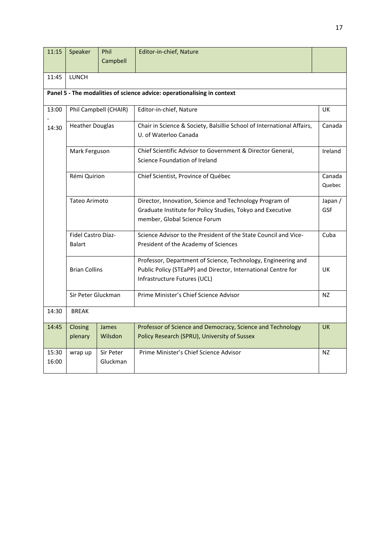| 11:15 | Speaker                                    | Phil      | Editor-in-chief, Nature                                                 |           |
|-------|--------------------------------------------|-----------|-------------------------------------------------------------------------|-----------|
|       |                                            | Campbell  |                                                                         |           |
| 11:45 | LUNCH                                      |           |                                                                         |           |
|       |                                            |           |                                                                         |           |
|       |                                            |           | Panel 5 - The modalities of science advice: operationalising in context |           |
| 13:00 | Phil Campbell (CHAIR)                      |           | Editor-in-chief, Nature                                                 | UK        |
| 14:30 | <b>Heather Douglas</b>                     |           | Chair in Science & Society, Balsillie School of International Affairs,  | Canada    |
|       |                                            |           | U. of Waterloo Canada                                                   |           |
|       | Mark Ferguson                              |           | Chief Scientific Advisor to Government & Director General,              | Ireland   |
|       |                                            |           | Science Foundation of Ireland                                           |           |
|       | Rémi Quirion                               |           | Chief Scientist, Province of Québec                                     | Canada    |
|       |                                            |           |                                                                         | Quebec    |
|       | Tateo Arimoto                              |           | Director, Innovation, Science and Technology Program of                 | Japan /   |
|       |                                            |           | Graduate Institute for Policy Studies, Tokyo and Executive              | GSF       |
|       |                                            |           | member, Global Science Forum                                            |           |
|       | Fidel Castro Díaz-                         |           | Science Advisor to the President of the State Council and Vice-         | Cuba      |
|       | <b>Balart</b>                              |           | President of the Academy of Sciences                                    |           |
|       | <b>Brian Collins</b><br>Sir Peter Gluckman |           | Professor, Department of Science, Technology, Engineering and           |           |
|       |                                            |           | Public Policy (STEaPP) and Director, International Centre for           | UK        |
|       |                                            |           | Infrastructure Futures (UCL)                                            |           |
|       |                                            |           | Prime Minister's Chief Science Advisor                                  | NZ        |
| 14:30 | <b>BREAK</b>                               |           |                                                                         |           |
| 14:45 | Closing                                    | James     | Professor of Science and Democracy, Science and Technology              | <b>UK</b> |
|       | plenary                                    | Wilsdon   | Policy Research (SPRU), University of Sussex                            |           |
| 15:30 | wrap up                                    | Sir Peter | Prime Minister's Chief Science Advisor                                  | NZ        |
| 16:00 |                                            | Gluckman  |                                                                         |           |
|       |                                            |           |                                                                         |           |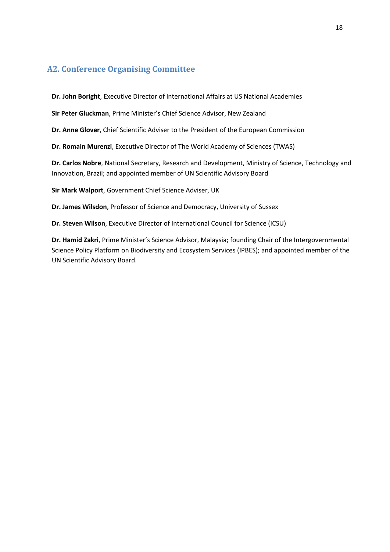### <span id="page-17-0"></span>**A2. Conference Organising Committee**

**Dr. John Boright**, Executive Director of International Affairs at US National Academies

**Sir Peter Gluckman**, Prime Minister's Chief Science Advisor, New Zealand

**Dr. Anne Glover**, Chief Scientific Adviser to the President of the European Commission

**Dr. Romain Murenzi**, Executive Director of The World Academy of Sciences (TWAS)

**Dr. Carlos Nobre**, National Secretary, Research and Development, Ministry of Science, Technology and Innovation, Brazil; and appointed member of UN Scientific Advisory Board

**Sir Mark Walport**, Government Chief Science Adviser, UK

**Dr. James Wilsdon**, Professor of Science and Democracy, University of Sussex

**Dr. Steven Wilson**, Executive Director of International Council for Science (ICSU)

**Dr. Hamid Zakri**, Prime Minister's Science Advisor, Malaysia; founding Chair of the Intergovernmental Science Policy Platform on Biodiversity and Ecosystem Services (IPBES); and appointed member of the UN Scientific Advisory Board.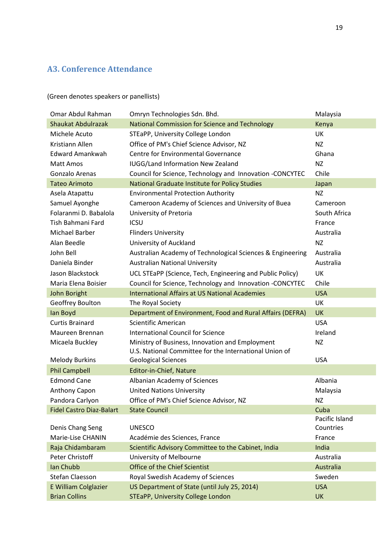## <span id="page-18-0"></span>**A3. Conference Attendance**

(Green denotes speakers or panellists)

| Omar Abdul Rahman               | Omryn Technologies Sdn. Bhd.                               | Malaysia       |
|---------------------------------|------------------------------------------------------------|----------------|
| <b>Shaukat Abdulrazak</b>       | National Commission for Science and Technology             | Kenya          |
| Michele Acuto                   | STEaPP, University College London                          | UK             |
| Kristiann Allen                 | Office of PM's Chief Science Advisor, NZ                   | NZ             |
| <b>Edward Amankwah</b>          | <b>Centre for Environmental Governance</b>                 | Ghana          |
| Matt Amos                       | <b>IUGG/Land Information New Zealand</b>                   | <b>NZ</b>      |
| Gonzalo Arenas                  | Council for Science, Technology and Innovation -CONCYTEC   | Chile          |
| <b>Tateo Arimoto</b>            | National Graduate Institute for Policy Studies             | Japan          |
| Asela Atapattu                  | <b>Environmental Protection Authority</b>                  | <b>NZ</b>      |
| Samuel Ayonghe                  | Cameroon Academy of Sciences and University of Buea        | Cameroon       |
| Folaranmi D. Babalola           | University of Pretoria                                     | South Africa   |
| Tish Bahmani Fard               | <b>ICSU</b>                                                | France         |
| Michael Barber                  | <b>Flinders University</b>                                 | Australia      |
| Alan Beedle                     | University of Auckland                                     | <b>NZ</b>      |
| John Bell                       | Australian Academy of Technological Sciences & Engineering | Australia      |
| Daniela Binder                  | <b>Australian National University</b>                      | Australia      |
| Jason Blackstock                | UCL STEaPP (Science, Tech, Engineering and Public Policy)  | UK             |
| Maria Elena Boisier             | Council for Science, Technology and Innovation -CONCYTEC   | Chile          |
| John Boright                    | <b>International Affairs at US National Academies</b>      | <b>USA</b>     |
| Geoffrey Boulton                | The Royal Society                                          | UK             |
| lan Boyd                        | Department of Environment, Food and Rural Affairs (DEFRA)  | <b>UK</b>      |
| <b>Curtis Brainard</b>          | Scientific American                                        | <b>USA</b>     |
| Maureen Brennan                 | <b>International Council for Science</b>                   | Ireland        |
| Micaela Buckley                 | Ministry of Business, Innovation and Employment            | <b>NZ</b>      |
|                                 | U.S. National Committee for the International Union of     |                |
| <b>Melody Burkins</b>           | <b>Geological Sciences</b>                                 | <b>USA</b>     |
| <b>Phil Campbell</b>            | Editor-in-Chief, Nature                                    |                |
| <b>Edmond Cane</b>              | Albanian Academy of Sciences                               | Albania        |
| Anthony Capon                   | <b>United Nations University</b>                           | Malaysia       |
| Pandora Carlyon                 | Office of PM's Chief Science Advisor, NZ                   | <b>NZ</b>      |
| <b>Fidel Castro Diaz-Balart</b> | <b>State Council</b>                                       | Cuba           |
|                                 |                                                            | Pacific Island |
| Denis Chang Seng                | <b>UNESCO</b>                                              | Countries      |
| Marie-Lise CHANIN               | Académie des Sciences, France                              | France         |
| Raja Chidambaram                | Scientific Advisory Committee to the Cabinet, India        | India          |
| Peter Christoff                 | University of Melbourne                                    | Australia      |
| Ian Chubb                       | Office of the Chief Scientist                              | Australia      |
| Stefan Claesson                 | Royal Swedish Academy of Sciences                          | Sweden         |
| E William Colglazier            | US Department of State (until July 25, 2014)               | <b>USA</b>     |
| <b>Brian Collins</b>            | <b>STEaPP, University College London</b>                   | <b>UK</b>      |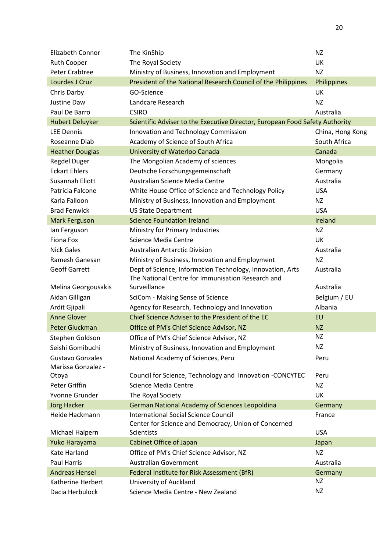| Elizabeth Connor        | The KinShip                                                                  | <b>NZ</b>        |
|-------------------------|------------------------------------------------------------------------------|------------------|
| <b>Ruth Cooper</b>      | The Royal Society                                                            | UK               |
| <b>Peter Crabtree</b>   | Ministry of Business, Innovation and Employment                              | <b>NZ</b>        |
| Lourdes J Cruz          | President of the National Research Council of the Philippines                | Philippines      |
| Chris Darby             | GO-Science                                                                   | UK               |
| Justine Daw             | Landcare Research                                                            | <b>NZ</b>        |
| Paul De Barro           | <b>CSIRO</b>                                                                 | Australia        |
| <b>Hubert Deluyker</b>  | Scientific Adviser to the Executive Director, European Food Safety Authority |                  |
| <b>LEE Dennis</b>       | Innovation and Technology Commission                                         | China, Hong Kong |
| Roseanne Diab           | Academy of Science of South Africa                                           | South Africa     |
| <b>Heather Douglas</b>  | University of Waterloo Canada                                                | Canada           |
| <b>Regdel Duger</b>     | The Mongolian Academy of sciences                                            | Mongolia         |
| <b>Eckart Ehlers</b>    | Deutsche Forschungsgemeinschaft                                              | Germany          |
| Susannah Eliott         | Australian Science Media Centre                                              | Australia        |
| Patricia Falcone        | White House Office of Science and Technology Policy                          | <b>USA</b>       |
| Karla Falloon           | Ministry of Business, Innovation and Employment                              | NZ               |
| <b>Brad Fenwick</b>     | <b>US State Department</b>                                                   | <b>USA</b>       |
| Mark Ferguson           | <b>Science Foundation Ireland</b>                                            | Ireland          |
| lan Ferguson            | Ministry for Primary Industries                                              | <b>NZ</b>        |
| Fiona Fox               | Science Media Centre                                                         | UK               |
| <b>Nick Gales</b>       | <b>Australian Antarctic Division</b>                                         | Australia        |
| Ramesh Ganesan          | Ministry of Business, Innovation and Employment                              | <b>NZ</b>        |
| <b>Geoff Garrett</b>    | Dept of Science, Information Technology, Innovation, Arts                    | Australia        |
|                         | The National Centre for Immunisation Research and                            |                  |
| Melina Georgousakis     | Surveillance                                                                 | Australia        |
| Aidan Gilligan          | SciCom - Making Sense of Science                                             | Belgium / EU     |
| Ardit Gjipali           | Agency for Research, Technology and Innovation                               | Albania          |
| <b>Anne Glover</b>      | Chief Science Adviser to the President of the EC                             | EU               |
| Peter Gluckman          | Office of PM's Chief Science Advisor, NZ                                     | <b>NZ</b>        |
| Stephen Goldson         | Office of PM's Chief Science Advisor, NZ                                     | <b>NZ</b>        |
| Seishi Gomibuchi        | Ministry of Business, Innovation and Employment                              | <b>NZ</b>        |
| <b>Gustavo Gonzales</b> | National Academy of Sciences, Peru                                           | Peru             |
| Marissa Gonzalez -      |                                                                              |                  |
| Otoya                   | Council for Science, Technology and Innovation -CONCYTEC                     | Peru             |
| Peter Griffin           | Science Media Centre                                                         | NZ               |
| Yvonne Grunder          | The Royal Society                                                            | UK               |
| Jörg Hacker             | <b>German National Academy of Sciences Leopoldina</b>                        | Germany          |
| Heide Hackmann          | <b>International Social Science Council</b>                                  | France           |
|                         | Center for Science and Democracy, Union of Concerned                         |                  |
| Michael Halpern         | Scientists                                                                   | <b>USA</b>       |
| Yuko Harayama           | Cabinet Office of Japan                                                      | Japan            |
| Kate Harland            | Office of PM's Chief Science Advisor, NZ                                     | <b>NZ</b>        |
| <b>Paul Harris</b>      | <b>Australian Government</b>                                                 | Australia        |
| <b>Andreas Hensel</b>   | Federal Institute for Risk Assessment (BfR)                                  | Germany          |
| Katherine Herbert       | University of Auckland                                                       | NZ               |
| Dacia Herbulock         | Science Media Centre - New Zealand                                           | <b>NZ</b>        |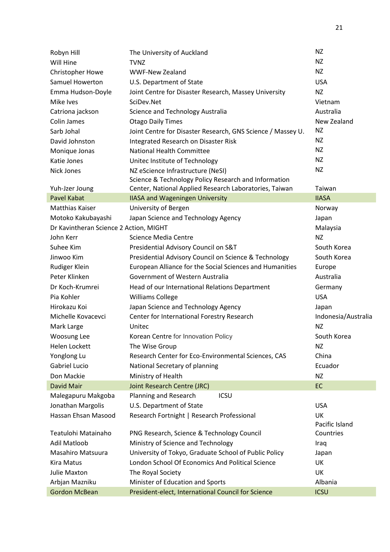| Robyn Hill                             | The University of Auckland                                  | NZ                  |
|----------------------------------------|-------------------------------------------------------------|---------------------|
| Will Hine                              | <b>TVNZ</b>                                                 | NZ                  |
| Christopher Howe                       | <b>WWF-New Zealand</b>                                      | <b>NZ</b>           |
| <b>Samuel Howerton</b>                 | U.S. Department of State                                    | <b>USA</b>          |
| Emma Hudson-Doyle                      | Joint Centre for Disaster Research, Massey University       | NZ                  |
| Mike Ives                              | SciDev.Net                                                  | Vietnam             |
| Catriona jackson                       | Science and Technology Australia                            | Australia           |
| <b>Colin James</b>                     | <b>Otago Daily Times</b>                                    | New Zealand         |
| Sarb Johal                             | Joint Centre for Disaster Research, GNS Science / Massey U. | <b>NZ</b>           |
| David Johnston                         | Integrated Research on Disaster Risk                        | <b>NZ</b>           |
| Monique Jonas                          | <b>National Health Committee</b>                            | <b>NZ</b>           |
| Katie Jones                            | Unitec Institute of Technology                              | <b>NZ</b>           |
| Nick Jones                             | NZ eScience Infrastructure (NeSI)                           | <b>NZ</b>           |
|                                        | Science & Technology Policy Research and Information        |                     |
| Yuh-Jzer Joung                         | Center, National Applied Research Laboratories, Taiwan      | Taiwan              |
| <b>Pavel Kabat</b>                     | <b>IIASA and Wageningen University</b>                      | <b>IIASA</b>        |
| <b>Matthias Kaiser</b>                 | University of Bergen                                        | Norway              |
| Motoko Kakubayashi                     | Japan Science and Technology Agency                         | Japan               |
| Dr Kavintheran Science 2 Action, MIGHT |                                                             | Malaysia            |
| John Kerr                              | Science Media Centre                                        | NZ                  |
| Suhee Kim                              | Presidential Advisory Council on S&T                        | South Korea         |
| Jinwoo Kim                             | Presidential Advisory Council on Science & Technology       | South Korea         |
| Rudiger Klein                          | European Alliance for the Social Sciences and Humanities    | Europe              |
| Peter Klinken                          | Government of Western Australia                             | Australia           |
| Dr Koch-Krumrei                        | Head of our International Relations Department              | Germany             |
| Pia Kohler                             | <b>Williams College</b>                                     | <b>USA</b>          |
| Hirokazu Koi                           | Japan Science and Technology Agency                         | Japan               |
| Michelle Kovacevci                     | Center for International Forestry Research                  | Indonesia/Australia |
| Mark Large                             | Unitec                                                      | <b>NZ</b>           |
| Woosung Lee                            | Korean Centre for Innovation Policy                         | South Korea         |
| Helen Lockett                          | The Wise Group                                              | <b>NZ</b>           |
| Yonglong Lu                            | Research Center for Eco-Environmental Sciences, CAS         | China               |
| Gabriel Lucio                          | National Secretary of planning                              | Ecuador             |
| Don Mackie                             | Ministry of Health                                          | NZ                  |
| <b>David Mair</b>                      | <b>Joint Research Centre (JRC)</b>                          | EC                  |
| Malegapuru Makgoba                     | Planning and Research<br><b>ICSU</b>                        |                     |
| Jonathan Margolis                      | U.S. Department of State                                    | <b>USA</b>          |
| Hassan Ehsan Masood                    | Research Fortnight   Research Professional                  | UK                  |
|                                        |                                                             | Pacific Island      |
| Teatulohi Matainaho                    | PNG Research, Science & Technology Council                  | Countries           |
| <b>Adil Matloob</b>                    | Ministry of Science and Technology                          | Iraq                |
| <b>Masahiro Matsuura</b>               | University of Tokyo, Graduate School of Public Policy       | Japan               |
| Kira Matus                             | London School Of Economics And Political Science            | UK                  |
| Julie Maxton                           | The Royal Society                                           | <b>UK</b>           |
| Arbjan Mazniku                         | Minister of Education and Sports                            | Albania             |
| <b>Gordon McBean</b>                   | President-elect, International Council for Science          | <b>ICSU</b>         |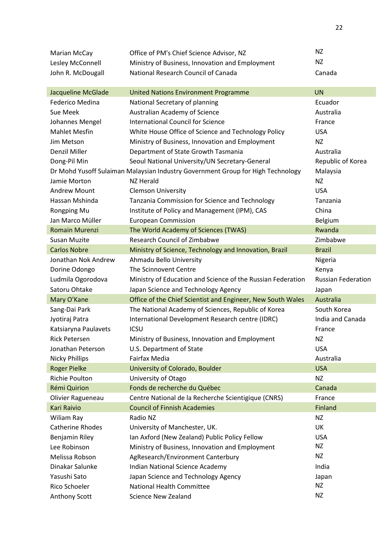| Marian McCay              | Office of PM's Chief Science Advisor, NZ                                        | ΝZ                        |
|---------------------------|---------------------------------------------------------------------------------|---------------------------|
| Lesley McConnell          | Ministry of Business, Innovation and Employment                                 | NZ                        |
| John R. McDougall         | National Research Council of Canada                                             | Canada                    |
|                           |                                                                                 |                           |
| <b>Jacqueline McGlade</b> | <b>United Nations Environment Programme</b>                                     | <b>UN</b>                 |
| Federico Medina           | National Secretary of planning                                                  | Ecuador                   |
| Sue Meek                  | Australian Academy of Science                                                   | Australia                 |
| Johannes Mengel           | <b>International Council for Science</b>                                        | France                    |
| <b>Mahlet Mesfin</b>      | White House Office of Science and Technology Policy                             | <b>USA</b>                |
| Jim Metson                | Ministry of Business, Innovation and Employment                                 | ΝZ                        |
| Denzil Miller             | Department of State Growth Tasmania                                             | Australia                 |
| Dong-Pil Min              | Seoul National University/UN Secretary-General                                  | Republic of Korea         |
|                           | Dr Mohd Yusoff Sulaiman Malaysian Industry Government Group for High Technology | Malaysia                  |
| Jamie Morton              | NZ Herald                                                                       | NZ                        |
| <b>Andrew Mount</b>       | <b>Clemson University</b>                                                       | <b>USA</b>                |
| Hassan Mshinda            | Tanzania Commission for Science and Technology                                  | Tanzania                  |
| Rongping Mu               | Institute of Policy and Management (IPM), CAS                                   | China                     |
| Jan Marco Müller          | <b>European Commission</b>                                                      | Belgium                   |
| Romain Murenzi            | The World Academy of Sciences (TWAS)                                            | Rwanda                    |
| <b>Susan Muzite</b>       | <b>Research Council of Zimbabwe</b>                                             | Zimbabwe                  |
| <b>Carlos Nobre</b>       | Ministry of Science, Technology and Innovation, Brazil                          | <b>Brazil</b>             |
| Jonathan Nok Andrew       | Ahmadu Bello University                                                         | Nigeria                   |
| Dorine Odongo             | The Scinnovent Centre                                                           | Kenya                     |
| Ludmila Ogorodova         | Ministry of Education and Science of the Russian Federation                     | <b>Russian Federation</b> |
| Satoru Ohtake             | Japan Science and Technology Agency                                             |                           |
|                           |                                                                                 | Japan                     |
| Mary O'Kane               | Office of the Chief Scientist and Engineer, New South Wales                     | Australia                 |
| Sang-Dai Park             | The National Academy of Sciences, Republic of Korea                             | South Korea               |
| Jyotiraj Patra            |                                                                                 | India and Canada          |
| Katsiaryna Paulavets      | International Development Research centre (IDRC)<br><b>ICSU</b>                 | France                    |
| <b>Rick Petersen</b>      |                                                                                 | NZ                        |
| Jonathan Peterson         | Ministry of Business, Innovation and Employment<br>U.S. Department of State     | <b>USA</b>                |
| <b>Nicky Phillips</b>     | Fairfax Media                                                                   | Australia                 |
| <b>Roger Pielke</b>       | University of Colorado, Boulder                                                 | <b>USA</b>                |
| Richie Poulton            | University of Otago                                                             | ΝZ                        |
| Rémi Quirion              | Fonds de recherche du Québec                                                    | Canada                    |
| Olivier Ragueneau         | Centre National de la Recherche Scientigique (CNRS)                             | France                    |
| Kari Raivio               | <b>Council of Finnish Academies</b>                                             | <b>Finland</b>            |
| Wiliam Ray                | Radio NZ                                                                        | ΝZ                        |
| <b>Catherine Rhodes</b>   | University of Manchester, UK.                                                   | UK                        |
| Benjamin Riley            | Ian Axford (New Zealand) Public Policy Fellow                                   | <b>USA</b>                |
| Lee Robinson              | Ministry of Business, Innovation and Employment                                 | NZ                        |
| Melissa Robson            | AgResearch/Environment Canterbury                                               | NZ                        |
| Dinakar Salunke           | Indian National Science Academy                                                 | India                     |
| Yasushi Sato              | Japan Science and Technology Agency                                             | Japan                     |
| Rico Schoeler             | National Health Committee                                                       | ΝZ                        |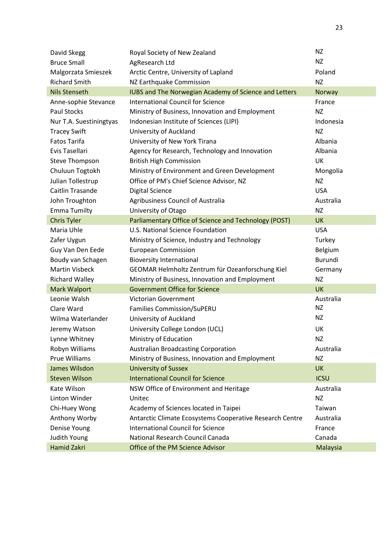| David Skegg             | Royal Society of New Zealand                                 | ΝZ             |
|-------------------------|--------------------------------------------------------------|----------------|
| <b>Bruce Small</b>      | AgResearch Ltd                                               | <b>NZ</b>      |
| Malgorzata Smieszek     | Arctic Centre, University of Lapland                         | Poland         |
| <b>Richard Smith</b>    | NZ Earthquake Commission                                     | <b>NZ</b>      |
| <b>Nils Stenseth</b>    | <b>IUBS and The Norwegian Academy of Science and Letters</b> | Norway         |
| Anne-sophie Stevance    | <b>International Council for Science</b>                     | France         |
| <b>Paul Stocks</b>      | Ministry of Business, Innovation and Employment              | ΝZ             |
| Nur T.A. Suestiningtyas | Indonesian Institute of Sciences (LIPI)                      | Indonesia      |
| <b>Tracey Swift</b>     | University of Auckland                                       | NZ             |
| <b>Fatos Tarifa</b>     | University of New York Tirana                                | Albania        |
| Evis Tasellari          | Agency for Research, Technology and Innovation               | Albania        |
| <b>Steve Thompson</b>   | <b>British High Commission</b>                               | UK             |
| Chuluun Togtokh         | Ministry of Environment and Green Development                | Mongolia       |
| Julian Tollestrup       | Office of PM's Chief Science Advisor, NZ                     | NZ             |
| Caitlin Trasande        | <b>Digital Science</b>                                       | <b>USA</b>     |
| John Troughton          | Agribusiness Council of Australia                            | Australia      |
| <b>Emma Tumilty</b>     | University of Otago                                          | NZ             |
| <b>Chris Tyler</b>      | Parliamentary Office of Science and Technology (POST)        | <b>UK</b>      |
| Maria Uhle              | U.S. National Science Foundation                             | <b>USA</b>     |
| Zafer Uygun             | Ministry of Science, Industry and Technology                 | Turkey         |
| Guy Van Den Eede        | <b>European Commission</b>                                   | Belgium        |
| Boudy van Schagen       | <b>Bioversity International</b>                              | <b>Burundi</b> |
| <b>Martin Visbeck</b>   | GEOMAR Helmholtz Zentrum für Ozeanforschung Kiel             | Germany        |
| <b>Richard Walley</b>   | Ministry of Business, Innovation and Employment              | ΝZ             |
| <b>Mark Walport</b>     | <b>Government Office for Science</b>                         | <b>UK</b>      |
| Leonie Walsh            | Victorian Government                                         | Australia      |
| Clare Ward              | <b>Families Commission/SuPERU</b>                            | <b>NZ</b>      |
| Wilma Waterlander       | University of Auckland                                       | <b>NZ</b>      |
| Jeremy Watson           | University College London (UCL)                              | UK             |
| Lynne Whitney           | Ministry of Education                                        | <b>NZ</b>      |
| Robyn Williams          | <b>Australian Broadcasting Corporation</b>                   | Australia      |
| <b>Prue Williams</b>    | Ministry of Business, Innovation and Employment              | ΝZ             |
| James Wilsdon           | <b>University of Sussex</b>                                  | <b>UK</b>      |
| <b>Steven Wilson</b>    | <b>International Council for Science</b>                     | <b>ICSU</b>    |
| Kate Wilson             | NSW Office of Environment and Heritage                       | Australia      |
| Linton Winder           | Unitec                                                       | <b>NZ</b>      |
| Chi-Huey Wong           | Academy of Sciences located in Taipei                        | Taiwan         |
| Anthony Worby           | Antarctic Climate Ecosystems Cooperative Research Centre     | Australia      |
| Denise Young            | <b>International Council for Science</b>                     | France         |
| Judith Young            | National Research Council Canada                             | Canada         |
| Hamid Zakri             | Office of the PM Science Advisor                             | Malaysia       |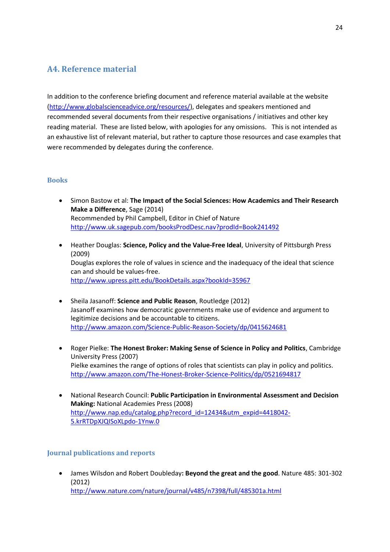### <span id="page-23-0"></span>**A4. Reference material**

In addition to the conference briefing document and reference material available at the website [\(http://www.globalscienceadvice.org/resources/\)](http://www.globalscienceadvice.org/resources/), delegates and speakers mentioned and recommended several documents from their respective organisations / initiatives and other key reading material. These are listed below, with apologies for any omissions. This is not intended as an exhaustive list of relevant material, but rather to capture those resources and case examples that were recommended by delegates during the conference.

#### <span id="page-23-1"></span>**Books**

- x Simon Bastow et al: **The Impact of the Social Sciences: How Academics and Their Research Make a Difference**, Sage (2014) Recommended by Phil Campbell, Editor in Chief of Nature <http://www.uk.sagepub.com/booksProdDesc.nav?prodId=Book241492>
- **•** Heather Douglas: **Science, Policy and the Value-Free Ideal**, University of Pittsburgh Press (2009) Douglas explores the role of values in science and the inadequacy of the ideal that science can and should be values-free. <http://www.upress.pitt.edu/BookDetails.aspx?bookId=35967>
- x Sheila Jasanoff: **Science and Public Reason**, Routledge (2012) Jasanoff examines how democratic governments make use of evidence and argument to legitimize decisions and be accountable to citizens. <http://www.amazon.com/Science-Public-Reason-Society/dp/0415624681>
- **•** Roger Pielke: The Honest Broker: Making Sense of Science in Policy and Politics, Cambridge University Press (2007) Pielke examines the range of options of roles that scientists can play in policy and politics. <http://www.amazon.com/The-Honest-Broker-Science-Politics/dp/0521694817>
- x National Research Council: **Public Participation in Environmental Assessment and Decision Making:** National Academies Press (2008) [http://www.nap.edu/catalog.php?record\\_id=12434&utm\\_expid=4418042-](http://www.nap.edu/catalog.php?record_id=12434&utm_expid=4418042-5.krRTDpXJQISoXLpdo-1Ynw.0) [5.krRTDpXJQISoXLpdo-1Ynw.0](http://www.nap.edu/catalog.php?record_id=12434&utm_expid=4418042-5.krRTDpXJQISoXLpdo-1Ynw.0)

#### <span id="page-23-2"></span>**Journal publications and reports**

x James Wilsdon and Robert Doubleday**: Beyond the great and the good**. Nature 485: 301-302 (2012) <http://www.nature.com/nature/journal/v485/n7398/full/485301a.html>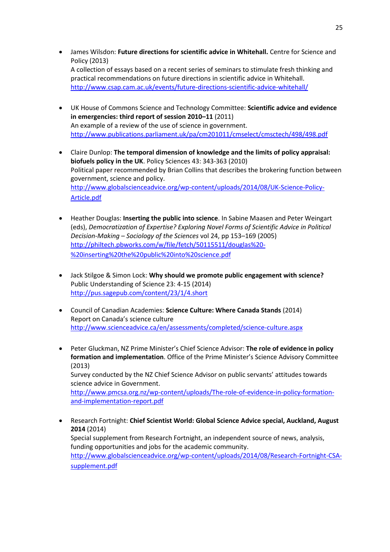- **•** James Wilsdon: Future directions for scientific advice in Whitehall. Centre for Science and Policy (2013) A collection of essays based on a recent series of seminars to stimulate fresh thinking and practical recommendations on future directions in scientific advice in Whitehall. <http://www.csap.cam.ac.uk/events/future-directions-scientific-advice-whitehall/>
- x UK House of Commons Science and Technology Committee: **Scientific advice and evidence in emergencies: third report of session 2010–11** (2011) An example of a review of the use of science in government. <http://www.publications.parliament.uk/pa/cm201011/cmselect/cmsctech/498/498.pdf>
- x Claire Dunlop: **The temporal dimension of knowledge and the limits of policy appraisal: biofuels policy in the UK**. Policy Sciences 43: 343-363 (2010) Political paper recommended by Brian Collins that describes the brokering function between government, science and policy. [http://www.globalscienceadvice.org/wp-content/uploads/2014/08/UK-Science-Policy-](http://www.globalscienceadvice.org/wp-content/uploads/2014/08/UK-Science-Policy-Article.pdf)[Article.pdf](http://www.globalscienceadvice.org/wp-content/uploads/2014/08/UK-Science-Policy-Article.pdf)
- x Heather Douglas: **Inserting the public into science**. In Sabine Maasen and Peter Weingart (eds), *Democratization of Expertise? Exploring Novel Forms of Scientific Advice in Political Decision-Making – Sociology of the Sciences* vol 24, pp 153–169 (2005) [http://philtech.pbworks.com/w/file/fetch/50115511/douglas%20-](http://philtech.pbworks.com/w/file/fetch/50115511/douglas%20-%20inserting%20the%20public%20into%20science.pdf) [%20inserting%20the%20public%20into%20science.pdf](http://philtech.pbworks.com/w/file/fetch/50115511/douglas%20-%20inserting%20the%20public%20into%20science.pdf)
- x Jack Stilgoe & Simon Lock: **Why should we promote public engagement with science?** Public Understanding of Science 23: 4-15 (2014) <http://pus.sagepub.com/content/23/1/4.short>
- x Council of Canadian Academies: **Science Culture: Where Canada Stands** (2014) Report on Canada's science culture <http://www.scienceadvice.ca/en/assessments/completed/science-culture.aspx>
- x Peter Gluckman, NZ Prime Minister's Chief Science Advisor: **The role of evidence in policy formation and implementation**. Office of the Prime Minister's Science Advisory Committee (2013) Survey conducted by the NZ Chief Science Advisor on public servants' attitudes towards science advice in Government. [http://www.pmcsa.org.nz/wp-content/uploads/The-role-of-evidence-in-policy-formation](http://www.pmcsa.org.nz/wp-content/uploads/The-role-of-evidence-in-policy-formation-and-implementation-report.pdf)[and-implementation-report.pdf](http://www.pmcsa.org.nz/wp-content/uploads/The-role-of-evidence-in-policy-formation-and-implementation-report.pdf)
- x Research Fortnight: **Chief Scientist World: Global Science Advice special, Auckland, August 2014** (2014) Special supplement from Research Fortnight, an independent source of news, analysis, funding opportunities and jobs for the academic community. [http://www.globalscienceadvice.org/wp-content/uploads/2014/08/Research-Fortnight-CSA](http://www.globalscienceadvice.org/wp-content/uploads/2014/08/Research-Fortnight-CSA-supplement.pdf)[supplement.pdf](http://www.globalscienceadvice.org/wp-content/uploads/2014/08/Research-Fortnight-CSA-supplement.pdf)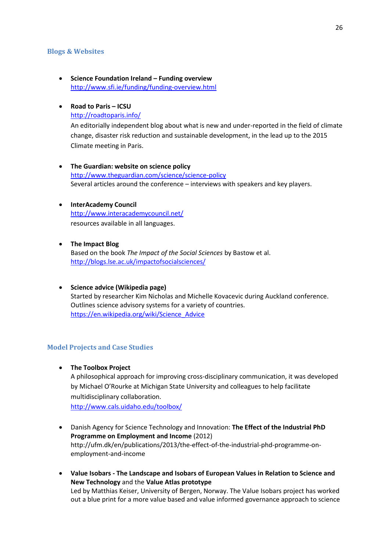#### <span id="page-25-0"></span>**Blogs & Websites**

x **Science Foundation Ireland – Funding overview**  <http://www.sfi.ie/funding/funding-overview.html>

#### x **Road to Paris – ICSU**

<http://roadtoparis.info/>

An editorially independent blog about what is new and under-reported in the field of climate change, disaster risk reduction and sustainable development, in the lead up to the 2015 Climate meeting in Paris.

x **The Guardian: website on science policy** <http://www.theguardian.com/science/science-policy> Several articles around the conference – interviews with speakers and key players.

#### **•** InterAcademy Council <http://www.interacademycouncil.net/> resources available in all languages.

**•** The Impact Blog Based on the book *The Impact of the Social Sciences* by Bastow et al. <http://blogs.lse.ac.uk/impactofsocialsciences/>

x **Science advice (Wikipedia page)** Started by researcher Kim Nicholas and Michelle Kovacevic during Auckland conference. Outlines science advisory systems for a variety of countries. [https://en.wikipedia.org/wiki/Science\\_Advice](https://en.wikipedia.org/wiki/Science_Advice)

#### <span id="page-25-1"></span>**Model Projects and Case Studies**

**•** The Toolbox Project A philosophical approach for improving cross-disciplinary communication, it was developed by Michael O'Rourke at Michigan State University and colleagues to help facilitate multidisciplinary collaboration. <http://www.cals.uidaho.edu/toolbox/>

x Danish Agency for Science Technology and Innovation: **The Effect of the Industrial PhD** 

- **Programme on Employment and Income** (2012) http://ufm.dk/en/publications/2013/the-effect-of-the-industrial-phd-programme-onemployment-and-income
- x **Value Isobars - The Landscape and Isobars of European Values in Relation to Science and New Technology** and the **Value Atlas prototype** Led by Matthias Keiser, University of Bergen, Norway. The Value Isobars project has worked out a blue print for a more value based and value informed governance approach to science